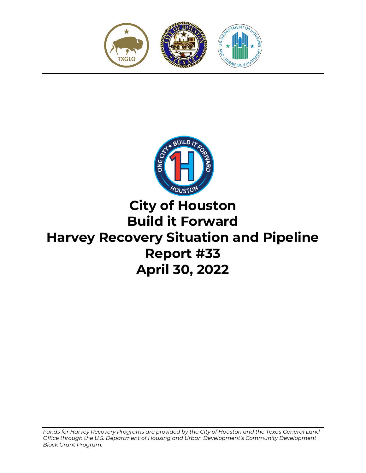



# **City of Houston Build it Forward Harvey Recovery Situation and Pipeline Report #33 April 30, 2022**

*Funds for Harvey Recovery Programs are provided by the City of Houston and the Texas General Land Office through the U.S. Department of Housing and Urban Development's Community Development Block Grant Program.*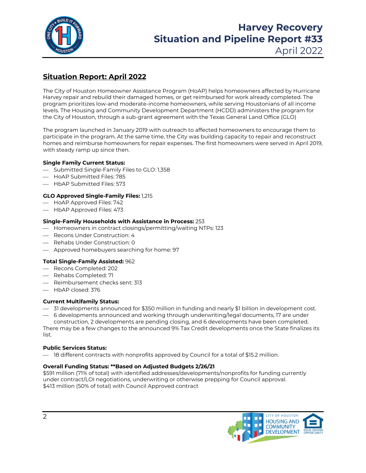

# **Harvey Recovery Situation and Pipeline Report #33**

April 2022

# **Situation Report: April 2022**

The City of Houston Homeowner Assistance Program (HoAP) helps homeowners affected by Hurricane Harvey repair and rebuild their damaged homes, or get reimbursed for work already completed. The program prioritizes low-and moderate-income homeowners, while serving Houstonians of all income levels. The Housing and Community Development Department (HCDD) administers the program for the City of Houston, through a sub-grant agreement with the Texas General Land Office (GLO)

The program launched in January 2019 with outreach to affected homeowners to encourage them to participate in the program. At the same time, the City was building capacity to repair and reconstruct homes and reimburse homeowners for repair expenses. The first homeowners were served in April 2019, with steady ramp up since then.

## **Single Family Current Status:**

- Submitted Single-Family Files to GLO: 1,358
- HoAP Submitted Files: 785
- HbAP Submitted Files: 573

### **GLO Approved Single-Family Files:** 1,215

- $-$  HoAP Approved Files: 742
- $-$  HbAP Approved Files: 473

#### **Single-Family Households with Assistance in Process:** 253

- $-$  Homeowners in contract closings/permitting/waiting NTPs: 123
- $-$  Recons Under Construction: 4
- Rehabs Under Construction: 0
- $-$  Approved homebuyers searching for home: 97

### **Total Single-Family Assisted:** 962

- Recons Completed: 202
- $-$  Rehabs Completed: 71
- Reimbursement checks sent: 313
- HbAP closed: 376

### **Current Multifamily Status:**

- 31 developments announced for \$350 million in funding and nearly \$1 billion in development cost.
- 6 developments announced and working through underwriting/legal documents, 17 are under construction, 2 developments are pending closing, and 6 developments have been completed.

There may be a few changes to the announced 9% Tax Credit developments once the State finalizes its list.

#### **Public Services Status:**

 $-$  18 different contracts with nonprofits approved by Council for a total of \$15.2 million.

### **Overall Funding Status: \*\*Based on Adjusted Budgets 2/26/21**

\$591 million (71% of total) with identified addresses/developments/nonprofits for funding currently under contract/LOI negotiations, underwriting or otherwise prepping for Council approval. \$413 million (50% of total) with Council Approved contract

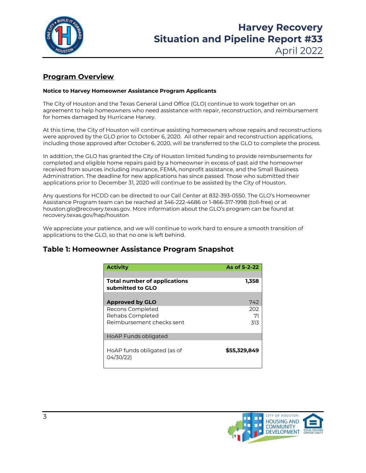

## **Program Overview**

#### **Notice to Harvey Homeowner Assistance Program Applicants**

The City of Houston and the Texas General Land Office (GLO) continue to work together on an agreement to help homeowners who need assistance with repair, reconstruction, and reimbursement for homes damaged by Hurricane Harvey.

At this time, the City of Houston will continue assisting homeowners whose repairs and reconstructions were approved by the GLO prior to October 6, 2020. All other repair and reconstruction applications, including those approved after October 6, 2020, will be transferred to the GLO to complete the process.

In addition, the GLO has granted the City of Houston limited funding to provide reimbursements for completed and eligible home repairs paid by a homeowner in excess of past aid the homeowner received from sources including insurance, FEMA, nonprofit assistance, and the Small Business Administration. The deadline for new applications has since passed. Those who submitted their applications prior to December 31, 2020 will continue to be assisted by the City of Houston.

Any questions for HCDD can be directed to our Call Center at 832-393-0550. The GLO's Homeowner Assistance Program team can be reached at 346-222-4686 or 1-866-317-1998 (toll-free) or at houston.glo@recovery.texas.gov. More information about the GLO's program can be found at recovery.texas.gov/hap/houston

We appreciate your patience, and we will continue to work hard to ensure a smooth transition of applications to the GLO, so that no one is left behind.

## **Table 1: Homeowner Assistance Program Snapshot**

| <b>Activity</b>                                         | As of 5-2-22 |
|---------------------------------------------------------|--------------|
|                                                         |              |
| <b>Total number of applications</b><br>submitted to GLO | 1,358        |
|                                                         |              |
| <b>Approved by GLO</b>                                  | 742          |
| Recons Completed                                        | 202          |
| Rehabs Completed                                        | 71           |
| Reimbursement checks sent                               | 313          |
| <b>HoAP Funds obligated</b>                             |              |
| HoAP funds obligated (as of<br>04/30/22)                | \$55,329,849 |

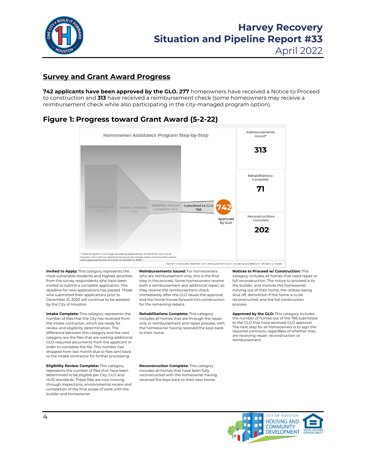

April 2022

## **Survey and Grant Award Progress**

**742 applicants have been approved by the GLO. 277** homeowners have received a Notice to Proceed to construction and **313** have received a reimbursement check (some homeowners may receive a reimbursement check while also participating in the city-managed program option).

## **Figure 1: Progress toward Grant Award (5-2-22)**



**Invited to Apply:** This category represents the most vulnerable residents and highest priorities from the survey respondents who have been invited to submit a complete application. The deadline for new applications has passed. Those who submitted their applications prior to December 31, 2020 will continue to be assisted by the City of Houston.

**Intake Complete:** This category represents the number of files that the City has received from the intake contractor, which are ready for review and eligibility determination. The difference between this category and the next category are the files that are waiting additional GLO-required documents from the applicant in order to complete the file. This number has dropped from last month due to files sent back to the intake contractor for further processing.

**Eligibility Review Complete:** This category represents the number of files that have been determined to be eligible per City, GLO and HUD standards. These files are now moving through inspections, environmental review and completion of the final scope of work with the builder and homeowner.

**Reimbursements Issued:** For homeowners who are reimbursement only, this is the final step in the process. Some homeowners receive both a reimbursement and additional repair, so they receive the reimbursement check immediately after the GLO issues the approval, and the home moves forward into construction for the remaining repairs.

**Rehabilitations Complete:** This category includes all homes that are through the repair only or reimbursement and repair process, with the homeowner having received the keys back to their home.

**Reconstruction Complete:** This category includes all homes that have been fully reconstructed with the homeowner having received the keys back to their new home.

**Notices to Proceed w/ Construction:** This category includes all homes that need repair or full reconstruction. The notice to proceed is to the builder, and involves the homeowner moving out of their home, the utilities being shut off, demolition if the home is to be reconstructed, and the full construction process.

**Approved by the GLO:** This category includes the number of homes out of the 785 submitted to the GLO that have received GLO approval. The next step for all homeowners is to sign the required contracts, regardless of whether they are receiving repair, reconstruction or reimbursement.

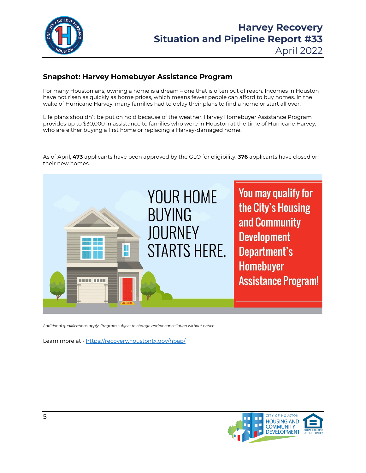

## **Snapshot: Harvey Homebuyer Assistance Program**

For many Houstonians, owning a home is a dream – one that is often out of reach. Incomes in Houston have not risen as quickly as home prices, which means fewer people can afford to buy homes. In the wake of Hurricane Harvey, many families had to delay their plans to find a home or start all over.

Life plans shouldn't be put on hold because of the weather. Harvey Homebuyer Assistance Program provides up to \$30,000 in assistance to families who were in Houston at the time of Hurricane Harvey, who are either buying a first home or replacing a Harvey-damaged home.

As of April, **473** applicants have been approved by the GLO for eligibility. **376** applicants have closed on their new homes.



*Additional qualifications apply. Program subject to change and/or cancellation without notice.* 

Learn more at - <https://recovery.houstontx.gov/hbap/>

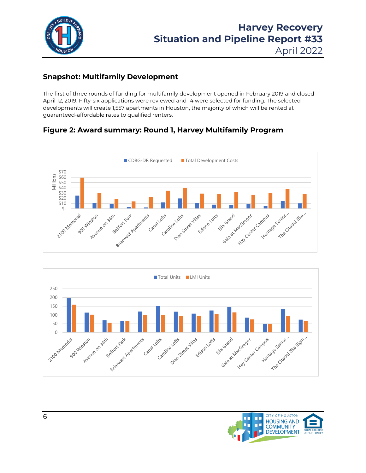

# **Snapshot: Multifamily Development**

The first of three rounds of funding for multifamily development opened in February 2019 and closed April 12, 2019. Fifty-six applications were reviewed and 14 were selected for funding. The selected developments will create 1,557 apartments in Houston, the majority of which will be rented at guaranteed-affordable rates to qualified renters.

# **Figure 2: Award summary: Round 1, Harvey Multifamily Program**





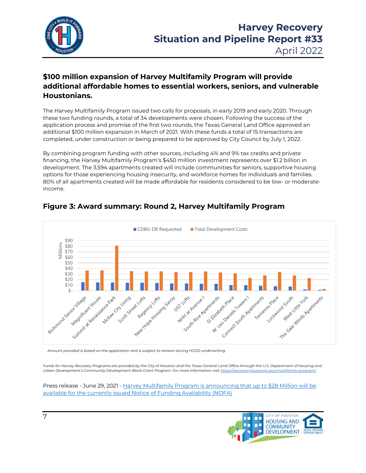

# **\$100 million expansion of Harvey Multifamily Program will provide additional affordable homes to essential workers, seniors, and vulnerable Houstonians.**

The Harvey Multifamily Program issued two calls for proposals, in early 2019 and early 2020. Through these two funding rounds, a total of 34 developments were chosen. Following the success of the application process and promise of the first two rounds, the Texas General Land Office approved an additional \$100 million expansion in March of 2021. With these funds a total of 15 transactions are completed, under construction or being prepared to be approved by City Council by July 1, 2022.

By combining program funding with other sources, including 4% and 9% tax credits and private financing, the Harvey Multifamily Program's \$450 million investment represents over \$1.2 billion in development. The 3,594 apartments created will include communities for seniors, supportive housing options for those experiencing housing insecurity, and workforce homes for individuals and families. 80% of all apartments created will be made affordable for residents considered to be low- or moderateincome.



# **Figure 3: Award summary: Round 2, Harvey Multifamily Program**

*Amount provided is based on the application and is subject to revision during HCDD underwriting.*

Funds for Harvey Recovery Programs are provided by the City of Houston and the Texas General Land Office through the U.S. Department of Housing and *Urban Development's Community Development Block Grant Program. For more information visi[t https://recovery.houstontx.gov/multifamily-program/](https://recovery.houstontx.gov/multifamily-program/)*

Press release - June 29, 2021 - [Harvey Multifamily Program is announcing that up to \\$28 Million will be](https://recovery.houstontx.gov/harvey-multifamily-program-is-announcing-that-up-to-28-million-will-be-available-for-the-currently-issued-notice-of-funding-availability-nofa/)  [available for the currently issued Notice of Funding Availability \(NOFA\)](https://recovery.houstontx.gov/harvey-multifamily-program-is-announcing-that-up-to-28-million-will-be-available-for-the-currently-issued-notice-of-funding-availability-nofa/)

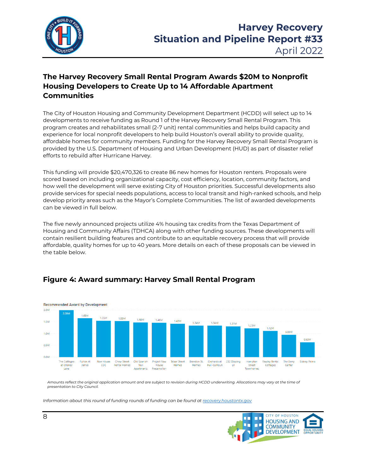

# **The Harvey Recovery Small Rental Program Awards \$20M to Nonprofit Housing Developers to Create Up to 14 Affordable Apartment Communities**

The City of Houston Housing and Community Development Department (HCDD) will select up to 14 developments to receive funding as Round 1 of the Harvey Recovery Small Rental Program. This program creates and rehabilitates small (2-7 unit) rental communities and helps build capacity and experience for local nonprofit developers to help build Houston's overall ability to provide quality, affordable homes for community members. Funding for the Harvey Recovery Small Rental Program is provided by the U.S. Department of Housing and Urban Development (HUD) as part of disaster relief efforts to rebuild after Hurricane Harvey.

This funding will provide \$20,470,326 to create 86 new homes for Houston renters. Proposals were scored based on including organizational capacity, cost efficiency, location, community factors, and how well the development will serve existing City of Houston priorities. Successful developments also provide services for special needs populations, access to local transit and high-ranked schools, and help develop priority areas such as the Mayor's Complete Communities. The list of awarded developments can be viewed in full below.

The five newly announced projects utilize 4% housing tax credits from the Texas Department of Housing and Community Affairs (TDHCA) along with other funding sources. These developments will contain resilient building features and contribute to an equitable recovery process that will provide affordable, quality homes for up to 40 years. More details on each of these proposals can be viewed in the table below.

## **Figure 4: Award summary: Harvey Small Rental Program**



*Amounts reflect the original application amount and are subject to revision during HCDD underwriting. Allocations may vary at the time of presentation to City Council.*

*Information about this round of funding rounds of funding can be found a[t recovery.houstontx.gov](https://recovery.houstontx.gov/hsrp/)*